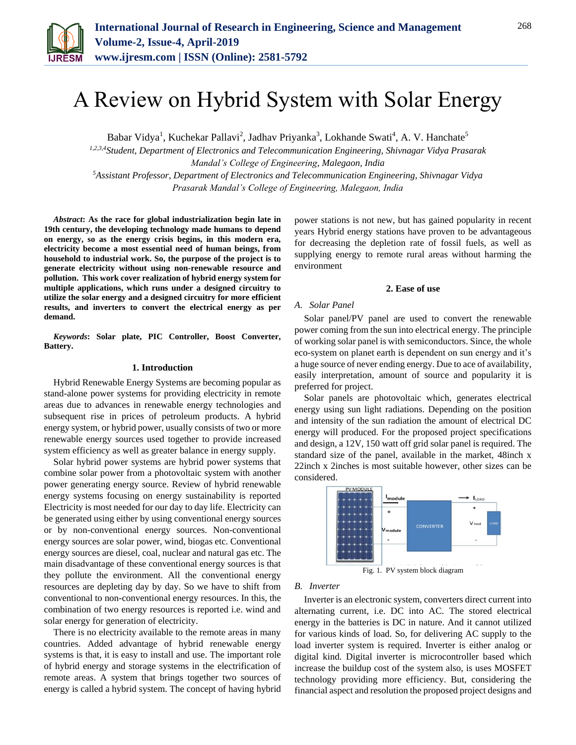

# A Review on Hybrid System with Solar Energy

Babar Vidya<sup>1</sup>, Kuchekar Pallavi<sup>2</sup>, Jadhav Priyanka<sup>3</sup>, Lokhande Swati<sup>4</sup>, A. V. Hanchate<sup>5</sup>

*1,2,3,4Student, Department of Electronics and Telecommunication Engineering, Shivnagar Vidya Prasarak Mandal's College of Engineering, Malegaon, India <sup>5</sup>Assistant Professor, Department of Electronics and Telecommunication Engineering, Shivnagar Vidya Prasarak Mandal's College of Engineering, Malegaon, India*

*Abstract***: As the race for global industrialization begin late in 19th century, the developing technology made humans to depend on energy, so as the energy crisis begins, in this modern era, electricity become a most essential need of human beings, from household to industrial work. So, the purpose of the project is to generate electricity without using non-renewable resource and pollution. This work cover realization of hybrid energy system for multiple applications, which runs under a designed circuitry to utilize the solar energy and a designed circuitry for more efficient results, and inverters to convert the electrical energy as per demand.**

*Keywords***: Solar plate, PIC Controller, Boost Converter, Battery.**

#### **1. Introduction**

Hybrid Renewable Energy Systems are becoming popular as stand-alone power systems for providing electricity in remote areas due to advances in renewable energy technologies and subsequent rise in prices of petroleum products. A hybrid energy system, or hybrid power, usually consists of two or more renewable energy sources used together to provide increased system efficiency as well as greater balance in energy supply.

Solar hybrid power systems are hybrid power systems that combine solar power from a photovoltaic system with another power generating energy source. Review of hybrid renewable energy systems focusing on energy sustainability is reported Electricity is most needed for our day to day life. Electricity can be generated using either by using conventional energy sources or by non-conventional energy sources. Non-conventional energy sources are solar power, wind, biogas etc. Conventional energy sources are diesel, coal, nuclear and natural gas etc. The main disadvantage of these conventional energy sources is that they pollute the environment. All the conventional energy resources are depleting day by day. So we have to shift from conventional to non-conventional energy resources. In this, the combination of two energy resources is reported i.e. wind and solar energy for generation of electricity.

There is no electricity available to the remote areas in many countries. Added advantage of hybrid renewable energy systems is that, it is easy to install and use. The important role of hybrid energy and storage systems in the electrification of remote areas. A system that brings together two sources of energy is called a hybrid system. The concept of having hybrid power stations is not new, but has gained popularity in recent years Hybrid energy stations have proven to be advantageous for decreasing the depletion rate of fossil fuels, as well as supplying energy to remote rural areas without harming the environment

#### **2. Ease of use**

## *A. Solar Panel*

Solar panel/PV panel are used to convert the renewable power coming from the sun into electrical energy. The principle of working solar panel is with semiconductors. Since, the whole eco-system on planet earth is dependent on sun energy and it's a huge source of never ending energy. Due to ace of availability, easily interpretation, amount of source and popularity it is preferred for project.

Solar panels are photovoltaic which, generates electrical energy using sun light radiations. Depending on the position and intensity of the sun radiation the amount of electrical DC energy will produced. For the proposed project specifications and design, a 12V, 150 watt off grid solar panel is required. The standard size of the panel, available in the market, 48inch x 22inch x 2inches is most suitable however, other sizes can be considered.



Fig. 1. PV system block diagram

#### *B. Inverter*

Inverter is an electronic system, converters direct current into alternating current, i.e. DC into AC. The stored electrical energy in the batteries is DC in nature. And it cannot utilized for various kinds of load. So, for delivering AC supply to the load inverter system is required. Inverter is either analog or digital kind. Digital inverter is microcontroller based which increase the buildup cost of the system also, is uses MOSFET technology providing more efficiency. But, considering the financial aspect and resolution the proposed project designs and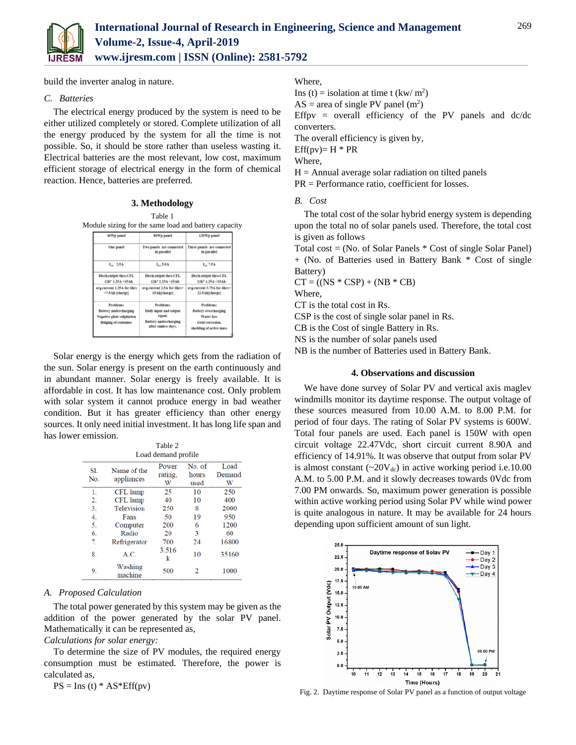

build the inverter analog in nature.

## *C. Batteries*

The electrical energy produced by the system is need to be either utilized completely or stored. Complete utilization of all the energy produced by the system for all the time is not possible. So, it should be store rather than useless wasting it. Electrical batteries are the most relevant, low cost, maximum efficient storage of electrical energy in the form of chemical reaction. Hence, batteries are preferred.

**3. Methodology**

| 40Wp panel                                                   | 80Wp panel                                       | 120Wp panel                                      |  |
|--------------------------------------------------------------|--------------------------------------------------|--------------------------------------------------|--|
| One panel                                                    | Two panels are connected<br>in parallel          | Three panels are connected<br>in parallel        |  |
| $L_{\text{av}}$ 2.5A                                         | $L_{\infty}$ 5.0A                                | $L_2$ 7.5A                                       |  |
| <b>Disch.output thro.CFL</b><br>12h <sup>*</sup> 1.25A =15Ah | <b>Disch.output thro.CFL</b><br>12h* 1.25A =15Ah | <b>Disch.output thro.CFL</b><br>12h* 1.25A =15Ah |  |
| avg.current 1.25A for 6hrs.<br>=7.5Ah [charge]               | avg.current 2.5.A for 6hrs=<br>15Ab/charge]      | avg.current 3.75A for 6hrs=<br>22.5.Ah(charge)   |  |
| Problems:                                                    | Problems:                                        | Problems:                                        |  |
| <b>Battery</b> undercharging                                 | Daily input and output                           | <b>Battery</b> overcharging                      |  |
| Negative plate sulphation                                    | equal.                                           | Water loss                                       |  |
| <b>Bulging of container</b>                                  | Battery undercharging<br>after sunless days.     | Grid corrosion.<br>shedding of active mass       |  |

Solar energy is the energy which gets from the radiation of the sun. Solar energy is present on the earth continuously and in abundant manner. Solar energy is freely available. It is affordable in cost. It has low maintenance cost. Only problem with solar system it cannot produce energy in bad weather condition. But it has greater efficiency than other energy sources. It only need initial investment. It has long life span and has lower emission.

|                     |                    | Table 2    |        |        |  |
|---------------------|--------------------|------------|--------|--------|--|
| Load demand profile |                    |            |        |        |  |
| S1.                 | Name of the        | Power      | No. of | Load   |  |
| No.                 | appliances         | rating.    | hours  | Demand |  |
|                     |                    | W          | used   | W      |  |
| 1.                  | CFL lamp           | 25         | 10     | 250    |  |
| 2.                  | CFL lamp           | 40         | 10     | 400    |  |
| 3.                  | Television         | 250        | 8      | 2000   |  |
| 4.                  | Fans               | 50         | 19     | 950    |  |
| 5.                  | Computer           | 200        | 6      | 1200   |  |
| 6.                  | Radio              | 20         | 3      | 60     |  |
| 7.                  | Refrigerator       | 700        | 24     | 16800  |  |
| 8.                  | A.C.               | 3.516<br>k | 10     | 35160  |  |
| 9.                  | Washing<br>machine | 500        | 2      | 1000   |  |

### *A. Proposed Calculation*

The total power generated by this system may be given as the addition of the power generated by the solar PV panel. Mathematically it can be represented as,

# *Calculations for solar energy:*

To determine the size of PV modules, the required energy consumption must be estimated. Therefore, the power is calculated as,

 $PS = Ins(t) * AS*Eff(pv)$ 

# Where,

Ins (t) = isolation at time t  $\frac{\text{kw}}{\text{m}^2}$ 

 $AS = area of single PV panel (m<sup>2</sup>)$ 

Effpv = overall efficiency of the PV panels and  $dc/dc$ converters.

The overall efficiency is given by,

 $Eff(pv)=H * PR$ 

Where,

 $H =$  Annual average solar radiation on tilted panels

PR = Performance ratio, coefficient for losses.

*B. Cost* 

The total cost of the solar hybrid energy system is depending upon the total no of solar panels used. Therefore, the total cost is given as follows

Total cost = (No. of Solar Panels \* Cost of single Solar Panel) + (No. of Batteries used in Battery Bank \* Cost of single Battery)

$$
CT = ((NS * CSP) + (NB * CB)
$$

Where,

CT is the total cost in Rs.

CSP is the cost of single solar panel in Rs.

CB is the Cost of single Battery in Rs.

NS is the number of solar panels used

NB is the number of Batteries used in Battery Bank.

# **4. Observations and discussion**

We have done survey of Solar PV and vertical axis maglev windmills monitor its daytime response. The output voltage of these sources measured from 10.00 A.M. to 8.00 P.M. for period of four days. The rating of Solar PV systems is 600W. Total four panels are used. Each panel is 150W with open circuit voltage 22.47Vdc, short circuit current 8.90A and efficiency of 14.91%. It was observe that output from solar PV is almost constant  $({\sim}20V_{dc})$  in active working period i.e.10.00 A.M. to 5.00 P.M. and it slowly decreases towards 0Vdc from 7.00 PM onwards. So, maximum power generation is possible within active working period using Solar PV while wind power is quite analogous in nature. It may be available for 24 hours depending upon sufficient amount of sun light.



Fig. 2. Daytime response of Solar PV panel as a function of output voltage